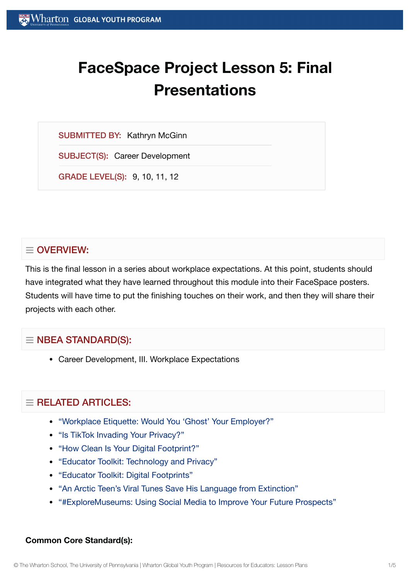# **FaceSpace Project Lesson 5: Final Presentations**

SUBMITTED BY: Kathryn McGinn

SUBJECT(S): Career Development

GRADE LEVEL(S): 9, 10, 11, 12

# $\equiv$  OVERVIEW:

This is the final lesson in a series about workplace expectations. At this point, students should have integrated what they have learned throughout this module into their FaceSpace posters. Students will have time to put the finishing touches on their work, and then they will share their projects with each other.

# $\equiv$  NBEA STANDARD(S):

Career Development, III. Workplace Expectations

# $\equiv$  RELATED ARTICLES:

- "Workplace Etiquette: Would You 'Ghost' Your [Employer?"](https://globalyouth.wharton.upenn.edu/articles/ghosting-in-the-workplace/)
- ["Is TikTok](https://globalyouth.wharton.upenn.edu/articles/is-tiktok-invading-your-privacy/) Invading Your Privacy?"
- "How Clean Is Your Digital [Footprint?"](https://globalyouth.wharton.upenn.edu/articles/clean_digital_footprint/)
- "Educator Toolkit: [Technology and](https://globalyouth.wharton.upenn.edu/articles/educator-toolkit-technology-privacy/) Privacy"
- "Educator Toolkit: Digital [Footprints"](https://globalyouth.wharton.upenn.edu/articles/july-2017-digital-footprints/)
- "An Arctic Teen's Viral Tunes Save [His Language](https://globalyouth.wharton.upenn.edu/articles/arctic-teen-saves-language-extinction/) from Extinction"
- ["#ExploreMuseums:](https://globalyouth.wharton.upenn.edu/articles/using_social_media_wisely/) Using Social Media to Improve Your Future Prospects"

#### **Common Core Standard(s):**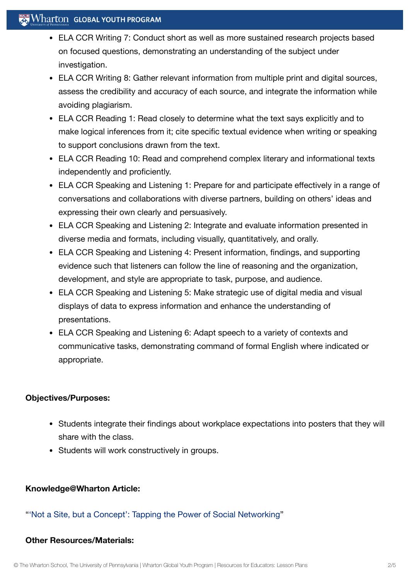## $\mathbb{R}$  Wharton Global Youth Program

- ELA CCR Writing 7: Conduct short as well as more sustained research projects based on focused questions, demonstrating an understanding of the subject under investigation.
- ELA CCR Writing 8: Gather relevant information from multiple print and digital sources, assess the credibility and accuracy of each source, and integrate the information while avoiding plagiarism.
- ELA CCR Reading 1: Read closely to determine what the text says explicitly and to make logical inferences from it; cite specific textual evidence when writing or speaking to support conclusions drawn from the text.
- ELA CCR Reading 10: Read and comprehend complex literary and informational texts independently and proficiently.
- ELA CCR Speaking and Listening 1: Prepare for and participate effectively in a range of conversations and collaborations with diverse partners, building on others' ideas and expressing their own clearly and persuasively.
- ELA CCR Speaking and Listening 2: Integrate and evaluate information presented in diverse media and formats, including visually, quantitatively, and orally.
- ELA CCR Speaking and Listening 4: Present information, findings, and supporting evidence such that listeners can follow the line of reasoning and the organization, development, and style are appropriate to task, purpose, and audience.
- ELA CCR Speaking and Listening 5: Make strategic use of digital media and visual displays of data to express information and enhance the understanding of presentations.
- ELA CCR Speaking and Listening 6: Adapt speech to a variety of contexts and communicative tasks, demonstrating command of formal English where indicated or appropriate.

## **Objectives/Purposes:**

- Students integrate their findings about workplace expectations into posters that they will share with the class.
- Students will work constructively in groups.

## **Knowledge@Wharton Article:**

## "'Not a Site, but a Concept': Tapping the Power of Social [Networking"](http://knowledge.wharton.upenn.edu/article.cfm?articleid=2009)

#### **Other Resources/Materials:**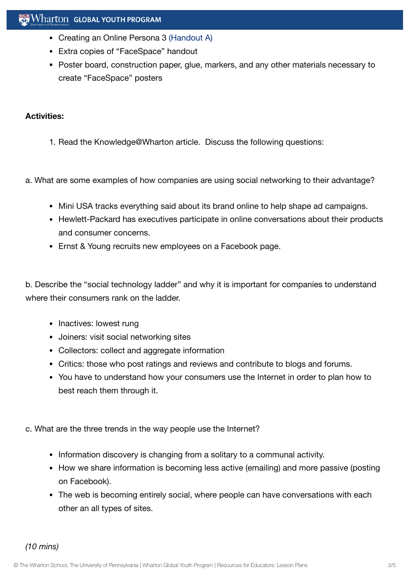- Creating an Online Persona 3 [\(Handout](https://globalyouth.wharton.upenn.edu/wp-content/uploads/2012/01/Career-Development-23_handoutA.pdf) A)
- Extra copies of "FaceSpace" handout
- Poster board, construction paper, glue, markers, and any other materials necessary to create "FaceSpace" posters

#### **Activities:**

- 1. Read the Knowledge@Wharton article. Discuss the following questions:
- a. What are some examples of how companies are using social networking to their advantage?
	- Mini USA tracks everything said about its brand online to help shape ad campaigns.
	- Hewlett-Packard has executives participate in online conversations about their products and consumer concerns.
	- Ernst & Young recruits new employees on a Facebook page.

b. Describe the "social technology ladder" and why it is important for companies to understand where their consumers rank on the ladder.

- Inactives: lowest rung
- Joiners: visit social networking sites
- Collectors: collect and aggregate information
- Critics: those who post ratings and reviews and contribute to blogs and forums.
- You have to understand how your consumers use the Internet in order to plan how to best reach them through it.
- c. What are the three trends in the way people use the Internet?
	- Information discovery is changing from a solitary to a communal activity.
	- How we share information is becoming less active (emailing) and more passive (posting on Facebook).
	- The web is becoming entirely social, where people can have conversations with each other an all types of sites.

*(10 mins)*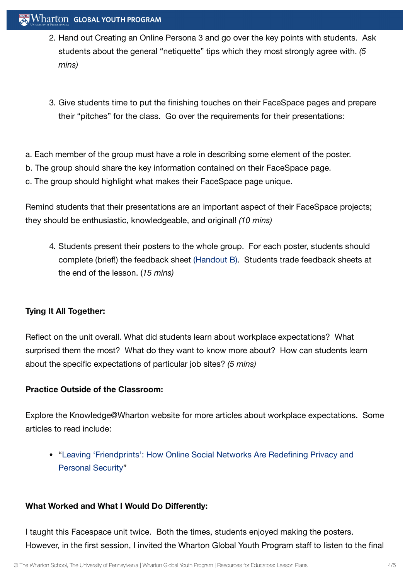## Wharton GLOBAL YOUTH PROGRAM

- 2. Hand out Creating an Online Persona 3 and go over the key points with students. Ask students about the general "netiquette" tips which they most strongly agree with. *(5 mins)*
- 3. Give students time to put the finishing touches on their FaceSpace pages and prepare their "pitches" for the class. Go over the requirements for their presentations:
- a. Each member of the group must have a role in describing some element of the poster.
- b. The group should share the key information contained on their FaceSpace page.
- c. The group should highlight what makes their FaceSpace page unique.

Remind students that their presentations are an important aspect of their FaceSpace projects; they should be enthusiastic, knowledgeable, and original! *(10 mins)*

4. Students present their posters to the whole group. For each poster, students should complete (brief!) the feedback sheet [\(Handout](https://globalyouth.wharton.upenn.edu/wp-content/uploads/2012/01/Career-Development-23_facefeedback.pdf) B). Students trade feedback sheets at the end of the lesson. (*15 mins)*

#### **Tying It All Together:**

Reflect on the unit overall. What did students learn about workplace expectations? What surprised them the most? What do they want to know more about? How can students learn about the specific expectations of particular job sites? *(5 mins)*

## **Practice Outside of the Classroom:**

Explore the Knowledge@Wharton website for more articles about workplace expectations. Some articles to read include:

"Leaving ['Friendprints':](http://knowledge.wharton.upenn.edu/article.cfm?articleid=2262) How Online Social Networks Are Redefining Privacy and Personal Security"

## **What Worked and What I Would Do Differently:**

I taught this Facespace unit twice. Both the times, students enjoyed making the posters. However, in the first session, I invited the Wharton Global Youth Program staff to listen to the final